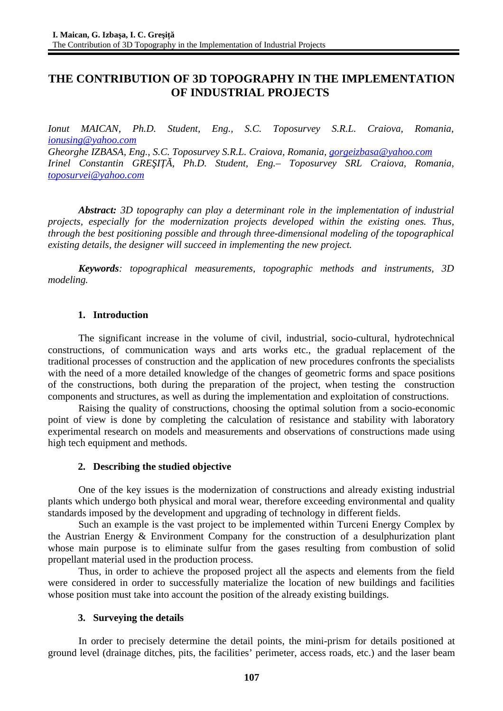# **THE CONTRIBUTION OF 3D TOPOGRAPHY IN THE IMPLEMENTATION OF INDUSTRIAL PROJECTS**

*Ionut MAICAN, Ph.D. Student, Eng., S.C. Toposurvey S.R.L. Craiova, Romania, [ionusing@yahoo.com](mailto:ionusing@yahoo.com) Gheorghe IZBASA, Eng., S.C. Toposurvey S.R.L. Craiova, Romania, [gorgeizbasa@yahoo.com](mailto:gorgeizbasa@yahoo.com) Irinel Constantin GREŞIŢĂ, Ph.D. Student, Eng.– Toposurvey SRL Craiova, Romania, [toposurvei@yahoo.com](mailto:toposurvei@yahoo.com)*

*Abstract: 3D topography can play a determinant role in the implementation of industrial projects, especially for the modernization projects developed within the existing ones. Thus, through the best positioning possible and through three-dimensional modeling of the topographical existing details, the designer will succeed in implementing the new project.* 

*Keywords: topographical measurements, topographic methods and instruments, 3D modeling.*

#### **1. Introduction**

The significant increase in the volume of civil, industrial, socio-cultural, hydrotechnical constructions, of communication ways and arts works etc., the gradual replacement of the traditional processes of construction and the application of new procedures confronts the specialists with the need of a more detailed knowledge of the changes of geometric forms and space positions of the constructions, both during the preparation of the project, when testing the construction components and structures, as well as during the implementation and exploitation of constructions.

Raising the quality of constructions, choosing the optimal solution from a socio-economic point of view is done by completing the calculation of resistance and stability with laboratory experimental research on models and measurements and observations of constructions made using high tech equipment and methods.

### **2. Describing the studied objective**

One of the key issues is the modernization of constructions and already existing industrial plants which undergo both physical and moral wear, therefore exceeding environmental and quality standards imposed by the development and upgrading of technology in different fields.

Such an example is the vast project to be implemented within Turceni Energy Complex by the Austrian Energy & Environment Company for the construction of a desulphurization plant whose main purpose is to eliminate sulfur from the gases resulting from combustion of solid propellant material used in the production process.

Thus, in order to achieve the proposed project all the aspects and elements from the field were considered in order to successfully materialize the location of new buildings and facilities whose position must take into account the position of the already existing buildings.

### **3. Surveying the details**

In order to precisely determine the detail points, the mini-prism for details positioned at ground level (drainage ditches, pits, the facilities' perimeter, access roads, etc.) and the laser beam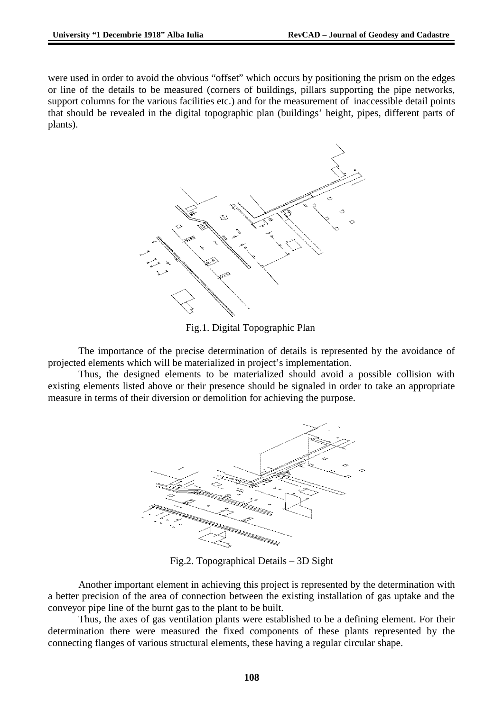were used in order to avoid the obvious "offset" which occurs by positioning the prism on the edges or line of the details to be measured (corners of buildings, pillars supporting the pipe networks, support columns for the various facilities etc.) and for the measurement of inaccessible detail points that should be revealed in the digital topographic plan (buildings' height, pipes, different parts of plants).



Fig.1. Digital Topographic Plan

The importance of the precise determination of details is represented by the avoidance of projected elements which will be materialized in project's implementation.

Thus, the designed elements to be materialized should avoid a possible collision with existing elements listed above or their presence should be signaled in order to take an appropriate measure in terms of their diversion or demolition for achieving the purpose.



Fig.2. Topographical Details – 3D Sight

Another important element in achieving this project is represented by the determination with a better precision of the area of connection between the existing installation of gas uptake and the conveyor pipe line of the burnt gas to the plant to be built.

Thus, the axes of gas ventilation plants were established to be a defining element. For their determination there were measured the fixed components of these plants represented by the connecting flanges of various structural elements, these having a regular circular shape.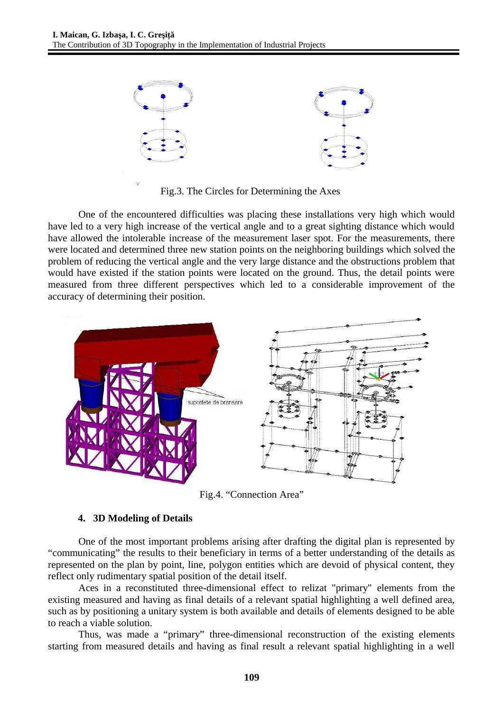

Fig.3. The Circles for Determining the Axes

One of the encountered difficulties was placing these installations very high which would have led to a very high increase of the vertical angle and to a great sighting distance which would have allowed the intolerable increase of the measurement laser spot. For the measurements, there were located and determined three new station points on the neighboring buildings which solved the problem of reducing the vertical angle and the very large distance and the obstructions problem that would have existed if the station points were located on the ground. Thus, the detail points were measured from three different perspectives which led to a considerable improvement of the accuracy of determining their position.



Fig.4. "Connection Area"

## **4. 3D Modeling of Details**

One of the most important problems arising after drafting the digital plan is represented by "communicating" the results to their beneficiary in terms of a better understanding of the details as represented on the plan by point, line, polygon entities which are devoid of physical content, they reflect only rudimentary spatial position of the detail itself.

Aces in a reconstituted three-dimensional effect to relizat "primary" elements from the existing measured and having as final details of a relevant spatial highlighting a well defined area, such as by positioning a unitary system is both available and details of elements designed to be able to reach a viable solution.

Thus, was made a "primary" three-dimensional reconstruction of the existing elements starting from measured details and having as final result a relevant spatial highlighting in a well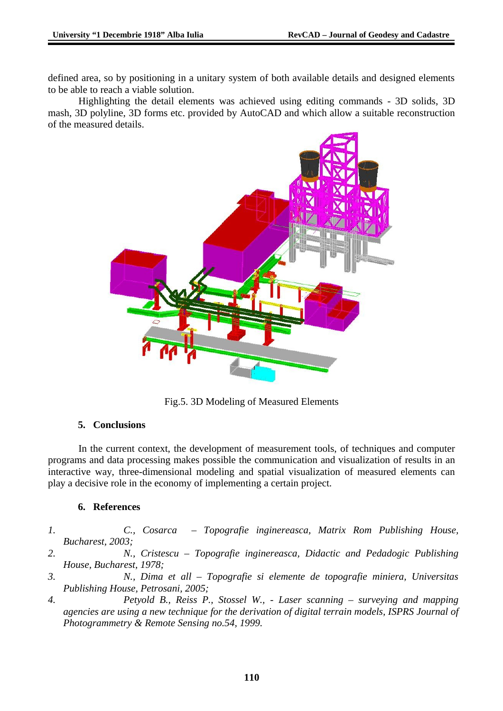defined area, so by positioning in a unitary system of both available details and designed elements to be able to reach a viable solution.

Highlighting the detail elements was achieved using editing commands - 3D solids, 3D mash, 3D polyline, 3D forms etc. provided by AutoCAD and which allow a suitable reconstruction of the measured details.



Fig.5. 3D Modeling of Measured Elements

### **5. Conclusions**

In the current context, the development of measurement tools, of techniques and computer programs and data processing makes possible the communication and visualization of results in an interactive way, three-dimensional modeling and spatial visualization of measured elements can play a decisive role in the economy of implementing a certain project.

### **6. References**

- *1. C., Cosarca Topografie inginereasca, Matrix Rom Publishing House, Bucharest, 2003;*
- *2. N., Cristescu Topografie inginereasca, Didactic and Pedadogic Publishing House, Bucharest, 1978;*
- *3. N., Dima et all Topografie si elemente de topografie miniera, Universitas Publishing House, Petrosani, 2005;*
- *4. Petyold B., Reiss P., Stossel W., Laser scanning surveying and mapping agencies are using a new technique for the derivation of digital terrain models, ISPRS Journal of Photogrammetry & Remote Sensing no.54, 1999.*